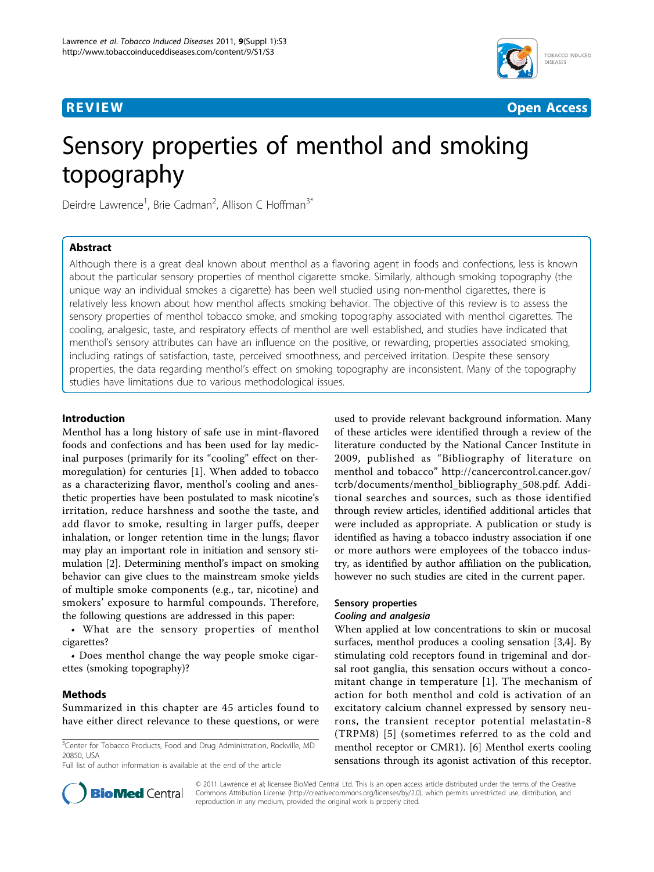



**REVIEW CONTROL** CONTROL CONTROL CONTROL CONTROL CONTROL CONTROL CONTROL CONTROL CONTROL CONTROL CONTROL CONTROL CONTROL CONTROL CONTROL CONTROL CONTROL CONTROL CONTROL CONTROL CONTROL CONTROL CONTROL CONTROL CONTROL CONTR

# Sensory properties of menthol and smoking topography

Deirdre Lawrence<sup>1</sup>, Brie Cadman<sup>2</sup>, Allison C Hoffman<sup>3\*</sup>

# Abstract

Although there is a great deal known about menthol as a flavoring agent in foods and confections, less is known about the particular sensory properties of menthol cigarette smoke. Similarly, although smoking topography (the unique way an individual smokes a cigarette) has been well studied using non-menthol cigarettes, there is relatively less known about how menthol affects smoking behavior. The objective of this review is to assess the sensory properties of menthol tobacco smoke, and smoking topography associated with menthol cigarettes. The cooling, analgesic, taste, and respiratory effects of menthol are well established, and studies have indicated that menthol's sensory attributes can have an influence on the positive, or rewarding, properties associated smoking, including ratings of satisfaction, taste, perceived smoothness, and perceived irritation. Despite these sensory properties, the data regarding menthol's effect on smoking topography are inconsistent. Many of the topography studies have limitations due to various methodological issues.

# Introduction

Menthol has a long history of safe use in mint-flavored foods and confections and has been used for lay medicinal purposes (primarily for its "cooling" effect on thermoregulation) for centuries [\[1\]](#page-6-0). When added to tobacco as a characterizing flavor, menthol's cooling and anesthetic properties have been postulated to mask nicotine's irritation, reduce harshness and soothe the taste, and add flavor to smoke, resulting in larger puffs, deeper inhalation, or longer retention time in the lungs; flavor may play an important role in initiation and sensory stimulation [[2\]](#page-6-0). Determining menthol's impact on smoking behavior can give clues to the mainstream smoke yields of multiple smoke components (e.g., tar, nicotine) and smokers' exposure to harmful compounds. Therefore, the following questions are addressed in this paper:

• What are the sensory properties of menthol cigarettes?

• Does menthol change the way people smoke cigarettes (smoking topography)?

# Methods

Summarized in this chapter are 45 articles found to have either direct relevance to these questions, or were

<sup>3</sup>Center for Tobacco Products, Food and Drug Administration, Rockville, MD 20850, USA

Full list of author information is available at the end of the article

used to provide relevant background information. Many of these articles were identified through a review of the literature conducted by the National Cancer Institute in 2009, published as "Bibliography of literature on menthol and tobacco" [http://cancercontrol.cancer.gov/](http://cancercontrol.cancer.gov/tcrb/documents/menthol_bibliography_508.pdf) [tcrb/documents/menthol\\_bibliography\\_508.pdf](http://cancercontrol.cancer.gov/tcrb/documents/menthol_bibliography_508.pdf). Additional searches and sources, such as those identified through review articles, identified additional articles that were included as appropriate. A publication or study is identified as having a tobacco industry association if one or more authors were employees of the tobacco industry, as identified by author affiliation on the publication, however no such studies are cited in the current paper.

## Sensory properties

## Cooling and analgesia

When applied at low concentrations to skin or mucosal surfaces, menthol produces a cooling sensation [[3,4\]](#page-6-0). By stimulating cold receptors found in trigeminal and dorsal root ganglia, this sensation occurs without a concomitant change in temperature [[1\]](#page-6-0). The mechanism of action for both menthol and cold is activation of an excitatory calcium channel expressed by sensory neurons, the transient receptor potential melastatin-8 (TRPM8) [[5](#page-6-0)] (sometimes referred to as the cold and menthol receptor or CMR1). [[6\]](#page-6-0) Menthol exerts cooling sensations through its agonist activation of this receptor.



© 2011 Lawrence et al; licensee BioMed Central Ltd. This is an open access article distributed under the terms of the Creative Commons Attribution License [\(http://creativecommons.org/licenses/by/2.0](http://creativecommons.org/licenses/by/2.0)), which permits unrestricted use, distribution, and reproduction in any medium, provided the original work is properly cited.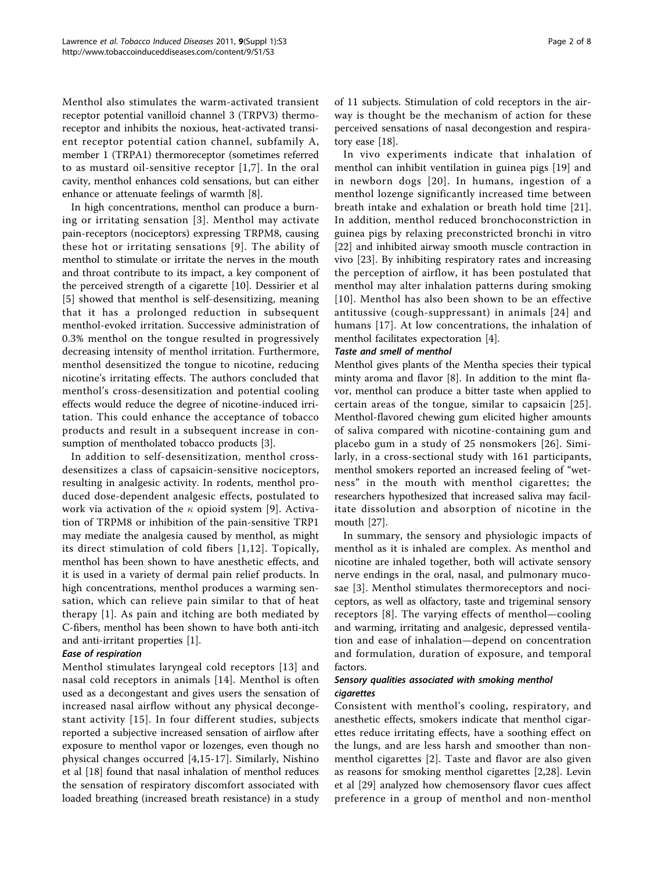Menthol also stimulates the warm-activated transient receptor potential vanilloid channel 3 (TRPV3) thermoreceptor and inhibits the noxious, heat-activated transient receptor potential cation channel, subfamily A, member 1 (TRPA1) thermoreceptor (sometimes referred to as mustard oil-sensitive receptor [[1](#page-6-0),[7\]](#page-6-0). In the oral cavity, menthol enhances cold sensations, but can either enhance or attenuate feelings of warmth [\[8](#page-6-0)].

In high concentrations, menthol can produce a burning or irritating sensation [[3](#page-6-0)]. Menthol may activate pain-receptors (nociceptors) expressing TRPM8, causing these hot or irritating sensations [[9](#page-6-0)]. The ability of menthol to stimulate or irritate the nerves in the mouth and throat contribute to its impact, a key component of the perceived strength of a cigarette [[10\]](#page-6-0). Dessirier et al [[5](#page-6-0)] showed that menthol is self-desensitizing, meaning that it has a prolonged reduction in subsequent menthol-evoked irritation. Successive administration of 0.3% menthol on the tongue resulted in progressively decreasing intensity of menthol irritation. Furthermore, menthol desensitized the tongue to nicotine, reducing nicotine's irritating effects. The authors concluded that menthol's cross-desensitization and potential cooling effects would reduce the degree of nicotine-induced irritation. This could enhance the acceptance of tobacco products and result in a subsequent increase in consumption of mentholated tobacco products [[3\]](#page-6-0).

In addition to self-desensitization, menthol crossdesensitizes a class of capsaicin-sensitive nociceptors, resulting in analgesic activity. In rodents, menthol produced dose-dependent analgesic effects, postulated to work via activation of the  $\kappa$  opioid system [[9\]](#page-6-0). Activation of TRPM8 or inhibition of the pain-sensitive TRP1 may mediate the analgesia caused by menthol, as might its direct stimulation of cold fibers [[1,12\]](#page-6-0). Topically, menthol has been shown to have anesthetic effects, and it is used in a variety of dermal pain relief products. In high concentrations, menthol produces a warming sensation, which can relieve pain similar to that of heat therapy [[1\]](#page-6-0). As pain and itching are both mediated by C-fibers, menthol has been shown to have both anti-itch and anti-irritant properties [\[1\]](#page-6-0).

## Ease of respiration

Menthol stimulates laryngeal cold receptors [\[13\]](#page-6-0) and nasal cold receptors in animals [[14\]](#page-6-0). Menthol is often used as a decongestant and gives users the sensation of increased nasal airflow without any physical decongestant activity [\[15](#page-6-0)]. In four different studies, subjects reported a subjective increased sensation of airflow after exposure to menthol vapor or lozenges, even though no physical changes occurred [[4,15-17\]](#page-6-0). Similarly, Nishino et al [[18\]](#page-6-0) found that nasal inhalation of menthol reduces the sensation of respiratory discomfort associated with loaded breathing (increased breath resistance) in a study of 11 subjects. Stimulation of cold receptors in the airway is thought be the mechanism of action for these perceived sensations of nasal decongestion and respiratory ease [[18](#page-6-0)].

In vivo experiments indicate that inhalation of menthol can inhibit ventilation in guinea pigs [\[19\]](#page-6-0) and in newborn dogs [[20\]](#page-6-0). In humans, ingestion of a menthol lozenge significantly increased time between breath intake and exhalation or breath hold time [[21](#page-6-0)]. In addition, menthol reduced bronchoconstriction in guinea pigs by relaxing preconstricted bronchi in vitro [[22\]](#page-6-0) and inhibited airway smooth muscle contraction in vivo [[23\]](#page-6-0). By inhibiting respiratory rates and increasing the perception of airflow, it has been postulated that menthol may alter inhalation patterns during smoking [[10\]](#page-6-0). Menthol has also been shown to be an effective antitussive (cough-suppressant) in animals [[24](#page-7-0)] and humans [\[17\]](#page-6-0). At low concentrations, the inhalation of menthol facilitates expectoration [\[4](#page-6-0)].

## Taste and smell of menthol

Menthol gives plants of the Mentha species their typical minty aroma and flavor [\[8](#page-6-0)]. In addition to the mint flavor, menthol can produce a bitter taste when applied to certain areas of the tongue, similar to capsaicin [[25\]](#page-7-0). Menthol-flavored chewing gum elicited higher amounts of saliva compared with nicotine-containing gum and placebo gum in a study of 25 nonsmokers [[26](#page-7-0)]. Similarly, in a cross-sectional study with 161 participants, menthol smokers reported an increased feeling of "wetness" in the mouth with menthol cigarettes; the researchers hypothesized that increased saliva may facilitate dissolution and absorption of nicotine in the mouth [\[27](#page-7-0)].

In summary, the sensory and physiologic impacts of menthol as it is inhaled are complex. As menthol and nicotine are inhaled together, both will activate sensory nerve endings in the oral, nasal, and pulmonary mucosae [[3\]](#page-6-0). Menthol stimulates thermoreceptors and nociceptors, as well as olfactory, taste and trigeminal sensory receptors [[8](#page-6-0)]. The varying effects of menthol—cooling and warming, irritating and analgesic, depressed ventilation and ease of inhalation—depend on concentration and formulation, duration of exposure, and temporal factors.

## Sensory qualities associated with smoking menthol cigarettes

Consistent with menthol's cooling, respiratory, and anesthetic effects, smokers indicate that menthol cigarettes reduce irritating effects, have a soothing effect on the lungs, and are less harsh and smoother than nonmenthol cigarettes [[2](#page-6-0)]. Taste and flavor are also given as reasons for smoking menthol cigarettes [[2,](#page-6-0)[28\]](#page-7-0). Levin et al [[29\]](#page-7-0) analyzed how chemosensory flavor cues affect preference in a group of menthol and non-menthol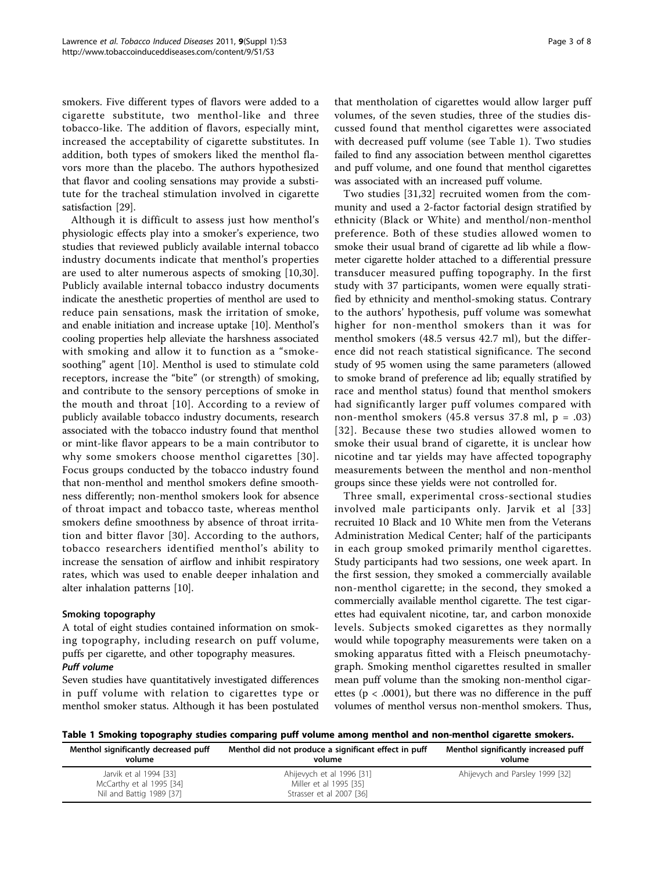smokers. Five different types of flavors were added to a cigarette substitute, two menthol-like and three tobacco-like. The addition of flavors, especially mint, increased the acceptability of cigarette substitutes. In addition, both types of smokers liked the menthol flavors more than the placebo. The authors hypothesized that flavor and cooling sensations may provide a substitute for the tracheal stimulation involved in cigarette satisfaction [[29](#page-7-0)].

Although it is difficult to assess just how menthol's physiologic effects play into a smoker's experience, two studies that reviewed publicly available internal tobacco industry documents indicate that menthol's properties are used to alter numerous aspects of smoking [[10,](#page-6-0)[30](#page-7-0)]. Publicly available internal tobacco industry documents indicate the anesthetic properties of menthol are used to reduce pain sensations, mask the irritation of smoke, and enable initiation and increase uptake [[10\]](#page-6-0). Menthol's cooling properties help alleviate the harshness associated with smoking and allow it to function as a "smokesoothing" agent [[10\]](#page-6-0). Menthol is used to stimulate cold receptors, increase the "bite" (or strength) of smoking, and contribute to the sensory perceptions of smoke in the mouth and throat [[10\]](#page-6-0). According to a review of publicly available tobacco industry documents, research associated with the tobacco industry found that menthol or mint-like flavor appears to be a main contributor to why some smokers choose menthol cigarettes [[30\]](#page-7-0). Focus groups conducted by the tobacco industry found that non-menthol and menthol smokers define smoothness differently; non-menthol smokers look for absence of throat impact and tobacco taste, whereas menthol smokers define smoothness by absence of throat irritation and bitter flavor [[30](#page-7-0)]. According to the authors, tobacco researchers identified menthol's ability to increase the sensation of airflow and inhibit respiratory rates, which was used to enable deeper inhalation and alter inhalation patterns [\[10](#page-6-0)].

## Smoking topography

A total of eight studies contained information on smoking topography, including research on puff volume, puffs per cigarette, and other topography measures. Puff volume

Seven studies have quantitatively investigated differences in puff volume with relation to cigarettes type or menthol smoker status. Although it has been postulated

that mentholation of cigarettes would allow larger puff volumes, of the seven studies, three of the studies discussed found that menthol cigarettes were associated with decreased puff volume (see Table 1). Two studies failed to find any association between menthol cigarettes and puff volume, and one found that menthol cigarettes was associated with an increased puff volume.

Two studies [[31](#page-7-0),[32\]](#page-7-0) recruited women from the community and used a 2-factor factorial design stratified by ethnicity (Black or White) and menthol/non-menthol preference. Both of these studies allowed women to smoke their usual brand of cigarette ad lib while a flowmeter cigarette holder attached to a differential pressure transducer measured puffing topography. In the first study with 37 participants, women were equally stratified by ethnicity and menthol-smoking status. Contrary to the authors' hypothesis, puff volume was somewhat higher for non-menthol smokers than it was for menthol smokers (48.5 versus 42.7 ml), but the difference did not reach statistical significance. The second study of 95 women using the same parameters (allowed to smoke brand of preference ad lib; equally stratified by race and menthol status) found that menthol smokers had significantly larger puff volumes compared with non-menthol smokers (45.8 versus 37.8 ml, p = .03) [[32](#page-7-0)]. Because these two studies allowed women to smoke their usual brand of cigarette, it is unclear how nicotine and tar yields may have affected topography measurements between the menthol and non-menthol groups since these yields were not controlled for.

Three small, experimental cross-sectional studies involved male participants only. Jarvik et al [[33](#page-7-0)] recruited 10 Black and 10 White men from the Veterans Administration Medical Center; half of the participants in each group smoked primarily menthol cigarettes. Study participants had two sessions, one week apart. In the first session, they smoked a commercially available non-menthol cigarette; in the second, they smoked a commercially available menthol cigarette. The test cigarettes had equivalent nicotine, tar, and carbon monoxide levels. Subjects smoked cigarettes as they normally would while topography measurements were taken on a smoking apparatus fitted with a Fleisch pneumotachygraph. Smoking menthol cigarettes resulted in smaller mean puff volume than the smoking non-menthol cigarettes ( $p < .0001$ ), but there was no difference in the puff volumes of menthol versus non-menthol smokers. Thus,

Table 1 Smoking topography studies comparing puff volume among menthol and non-menthol cigarette smokers.

| Menthol significantly decreased puff                                           | Menthol did not produce a significant effect in puff                            | Menthol significantly increased puff |
|--------------------------------------------------------------------------------|---------------------------------------------------------------------------------|--------------------------------------|
| volume                                                                         | volume                                                                          | volume                               |
| Jarvik et al 1994 [33]<br>McCarthy et al 1995 [34]<br>Nil and Battig 1989 [37] | Ahijevych et al 1996 [31]<br>Miller et al 1995 [35]<br>Strasser et al 2007 [36] | Ahijevych and Parsley 1999 [32]      |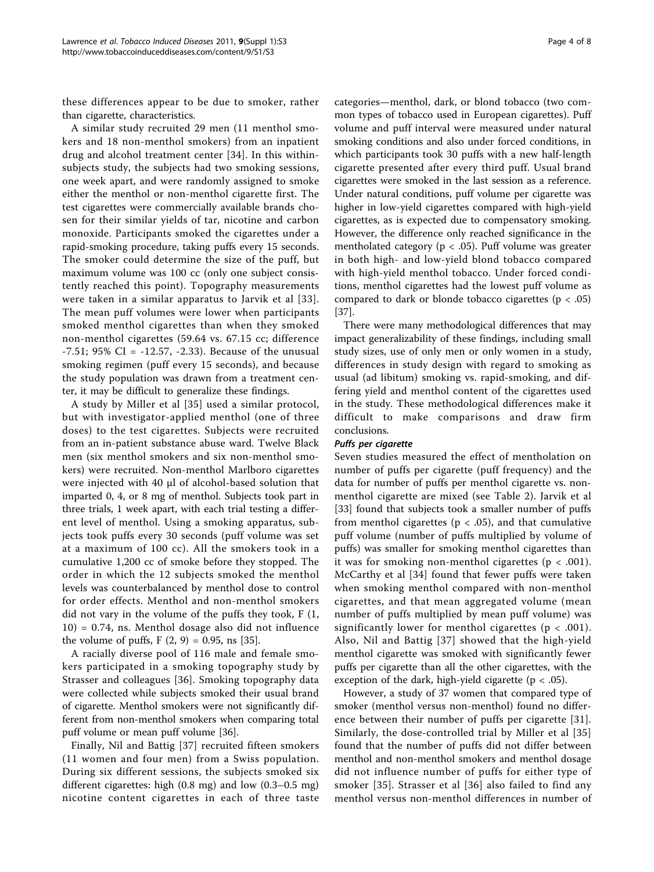these differences appear to be due to smoker, rather than cigarette, characteristics.

A similar study recruited 29 men (11 menthol smokers and 18 non-menthol smokers) from an inpatient drug and alcohol treatment center [[34](#page-7-0)]. In this withinsubjects study, the subjects had two smoking sessions, one week apart, and were randomly assigned to smoke either the menthol or non-menthol cigarette first. The test cigarettes were commercially available brands chosen for their similar yields of tar, nicotine and carbon monoxide. Participants smoked the cigarettes under a rapid-smoking procedure, taking puffs every 15 seconds. The smoker could determine the size of the puff, but maximum volume was 100 cc (only one subject consistently reached this point). Topography measurements were taken in a similar apparatus to Jarvik et al [[33\]](#page-7-0). The mean puff volumes were lower when participants smoked menthol cigarettes than when they smoked non-menthol cigarettes (59.64 vs. 67.15 cc; difference  $-7.51$ ; 95% CI =  $-12.57$ ,  $-2.33$ ). Because of the unusual smoking regimen (puff every 15 seconds), and because the study population was drawn from a treatment center, it may be difficult to generalize these findings.

A study by Miller et al [[35](#page-7-0)] used a similar protocol, but with investigator-applied menthol (one of three doses) to the test cigarettes. Subjects were recruited from an in-patient substance abuse ward. Twelve Black men (six menthol smokers and six non-menthol smokers) were recruited. Non-menthol Marlboro cigarettes were injected with 40 µl of alcohol-based solution that imparted 0, 4, or 8 mg of menthol. Subjects took part in three trials, 1 week apart, with each trial testing a different level of menthol. Using a smoking apparatus, subjects took puffs every 30 seconds (puff volume was set at a maximum of 100 cc). All the smokers took in a cumulative 1,200 cc of smoke before they stopped. The order in which the 12 subjects smoked the menthol levels was counterbalanced by menthol dose to control for order effects. Menthol and non-menthol smokers did not vary in the volume of the puffs they took, F (1, 10) = 0.74, ns. Menthol dosage also did not influence the volume of puffs,  $F(2, 9) = 0.95$ , ns [\[35\]](#page-7-0).

A racially diverse pool of 116 male and female smokers participated in a smoking topography study by Strasser and colleagues [[36](#page-7-0)]. Smoking topography data were collected while subjects smoked their usual brand of cigarette. Menthol smokers were not significantly different from non-menthol smokers when comparing total puff volume or mean puff volume [[36](#page-7-0)].

Finally, Nil and Battig [\[37](#page-7-0)] recruited fifteen smokers (11 women and four men) from a Swiss population. During six different sessions, the subjects smoked six different cigarettes: high (0.8 mg) and low (0.3–0.5 mg) nicotine content cigarettes in each of three taste

categories—menthol, dark, or blond tobacco (two common types of tobacco used in European cigarettes). Puff volume and puff interval were measured under natural smoking conditions and also under forced conditions, in which participants took 30 puffs with a new half-length cigarette presented after every third puff. Usual brand cigarettes were smoked in the last session as a reference. Under natural conditions, puff volume per cigarette was higher in low-yield cigarettes compared with high-yield cigarettes, as is expected due to compensatory smoking. However, the difference only reached significance in the mentholated category (p < .05). Puff volume was greater in both high- and low-yield blond tobacco compared with high-yield menthol tobacco. Under forced conditions, menthol cigarettes had the lowest puff volume as compared to dark or blonde tobacco cigarettes ( $p < .05$ ) [[37\]](#page-7-0).

There were many methodological differences that may impact generalizability of these findings, including small study sizes, use of only men or only women in a study, differences in study design with regard to smoking as usual (ad libitum) smoking vs. rapid-smoking, and differing yield and menthol content of the cigarettes used in the study. These methodological differences make it difficult to make comparisons and draw firm conclusions.

## Puffs per cigarette

Seven studies measured the effect of mentholation on number of puffs per cigarette (puff frequency) and the data for number of puffs per menthol cigarette vs. nonmenthol cigarette are mixed (see Table [2\)](#page-4-0). Jarvik et al [[33\]](#page-7-0) found that subjects took a smaller number of puffs from menthol cigarettes ( $p < .05$ ), and that cumulative puff volume (number of puffs multiplied by volume of puffs) was smaller for smoking menthol cigarettes than it was for smoking non-menthol cigarettes ( $p < .001$ ). McCarthy et al [[34](#page-7-0)] found that fewer puffs were taken when smoking menthol compared with non-menthol cigarettes, and that mean aggregated volume (mean number of puffs multiplied by mean puff volume) was significantly lower for menthol cigarettes ( $p < .001$ ). Also, Nil and Battig [[37\]](#page-7-0) showed that the high-yield menthol cigarette was smoked with significantly fewer puffs per cigarette than all the other cigarettes, with the exception of the dark, high-yield cigarette ( $p < .05$ ).

However, a study of 37 women that compared type of smoker (menthol versus non-menthol) found no difference between their number of puffs per cigarette [[31](#page-7-0)]. Similarly, the dose-controlled trial by Miller et al [[35](#page-7-0)] found that the number of puffs did not differ between menthol and non-menthol smokers and menthol dosage did not influence number of puffs for either type of smoker [[35](#page-7-0)]. Strasser et al [\[36\]](#page-7-0) also failed to find any menthol versus non-menthol differences in number of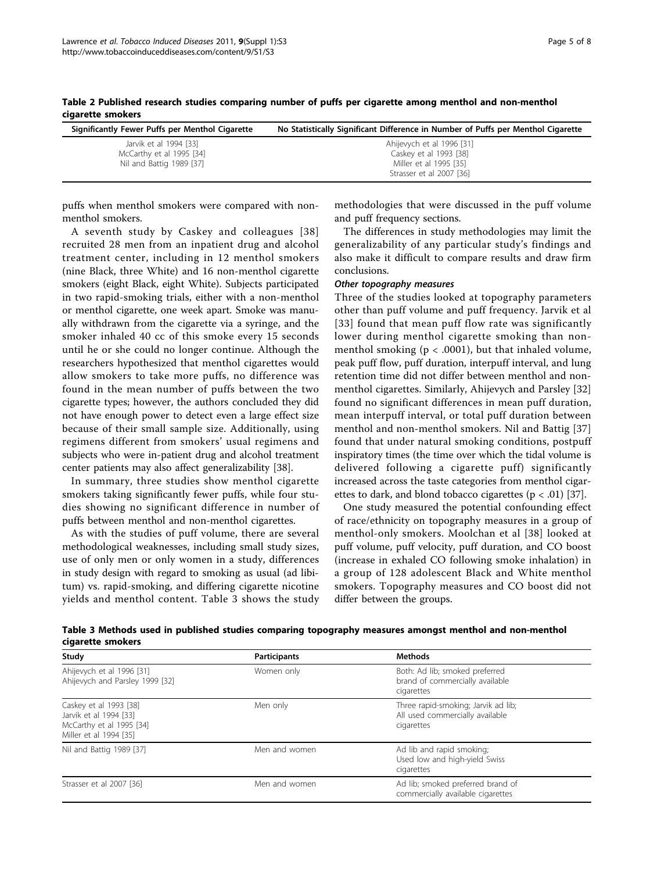| Significantly Fewer Puffs per Menthol Cigarette                                | No Statistically Significant Difference in Number of Puffs per Menthol Cigarette                          |
|--------------------------------------------------------------------------------|-----------------------------------------------------------------------------------------------------------|
| Jarvik et al 1994 [33]<br>McCarthy et al 1995 [34]<br>Nil and Battig 1989 [37] | Ahijevych et al 1996 [31]<br>Caskey et al 1993 [38]<br>Miller et al 1995 [35]<br>Strasser et al 2007 [36] |

<span id="page-4-0"></span>Table 2 Published research studies comparing number of puffs per cigarette among menthol and non-menthol cigarette smokers

puffs when menthol smokers were compared with nonmenthol smokers.

A seventh study by Caskey and colleagues [[38](#page-7-0)] recruited 28 men from an inpatient drug and alcohol treatment center, including in 12 menthol smokers (nine Black, three White) and 16 non-menthol cigarette smokers (eight Black, eight White). Subjects participated in two rapid-smoking trials, either with a non-menthol or menthol cigarette, one week apart. Smoke was manually withdrawn from the cigarette via a syringe, and the smoker inhaled 40 cc of this smoke every 15 seconds until he or she could no longer continue. Although the researchers hypothesized that menthol cigarettes would allow smokers to take more puffs, no difference was found in the mean number of puffs between the two cigarette types; however, the authors concluded they did not have enough power to detect even a large effect size because of their small sample size. Additionally, using regimens different from smokers' usual regimens and subjects who were in-patient drug and alcohol treatment center patients may also affect generalizability [\[38\]](#page-7-0).

In summary, three studies show menthol cigarette smokers taking significantly fewer puffs, while four studies showing no significant difference in number of puffs between menthol and non-menthol cigarettes.

As with the studies of puff volume, there are several methodological weaknesses, including small study sizes, use of only men or only women in a study, differences in study design with regard to smoking as usual (ad libitum) vs. rapid-smoking, and differing cigarette nicotine yields and menthol content. Table 3 shows the study

methodologies that were discussed in the puff volume and puff frequency sections.

The differences in study methodologies may limit the generalizability of any particular study's findings and also make it difficult to compare results and draw firm conclusions.

#### Other topography measures

Three of the studies looked at topography parameters other than puff volume and puff frequency. Jarvik et al [[33\]](#page-7-0) found that mean puff flow rate was significantly lower during menthol cigarette smoking than nonmenthol smoking ( $p < .0001$ ), but that inhaled volume, peak puff flow, puff duration, interpuff interval, and lung retention time did not differ between menthol and nonmenthol cigarettes. Similarly, Ahijevych and Parsley [\[32](#page-7-0)] found no significant differences in mean puff duration, mean interpuff interval, or total puff duration between menthol and non-menthol smokers. Nil and Battig [\[37](#page-7-0)] found that under natural smoking conditions, postpuff inspiratory times (the time over which the tidal volume is delivered following a cigarette puff) significantly increased across the taste categories from menthol cigarettes to dark, and blond tobacco cigarettes ( $p < .01$ ) [\[37](#page-7-0)].

One study measured the potential confounding effect of race/ethnicity on topography measures in a group of menthol-only smokers. Moolchan et al [[38](#page-7-0)] looked at puff volume, puff velocity, puff duration, and CO boost (increase in exhaled CO following smoke inhalation) in a group of 128 adolescent Black and White menthol smokers. Topography measures and CO boost did not differ between the groups.

| Table 3 Methods used in published studies comparing topography measures amongst menthol and non-menthol |  |  |
|---------------------------------------------------------------------------------------------------------|--|--|
| cigarette smokers                                                                                       |  |  |

| Study                                                                                                  | Participants  | <b>Methods</b>                                                                       |  |
|--------------------------------------------------------------------------------------------------------|---------------|--------------------------------------------------------------------------------------|--|
| Ahijevych et al 1996 [31]<br>Ahijevych and Parsley 1999 [32]                                           | Women only    | Both: Ad lib; smoked preferred<br>brand of commercially available<br>cigarettes      |  |
| Caskey et al 1993 [38]<br>Jarvik et al 1994 [33]<br>McCarthy et al 1995 [34]<br>Miller et al 1994 [35] | Men only      | Three rapid-smoking; Jarvik ad lib;<br>All used commercially available<br>cigarettes |  |
| Nil and Battig 1989 [37]                                                                               | Men and women | Ad lib and rapid smoking;<br>Used low and high-yield Swiss<br>cigarettes             |  |
| Strasser et al 2007 [36]                                                                               | Men and women | Ad lib; smoked preferred brand of<br>commercially available cigarettes               |  |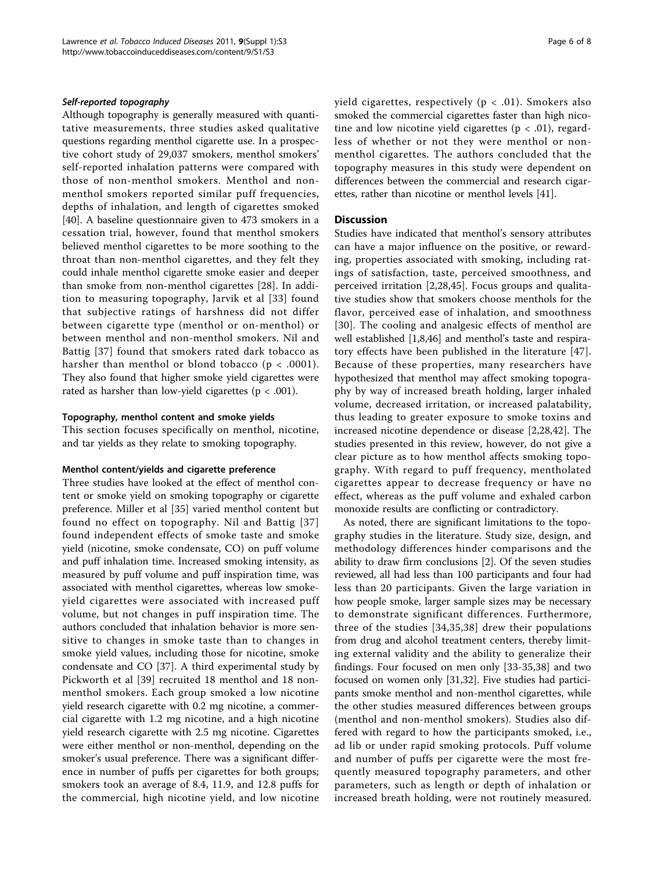#### Self-reported topography

Although topography is generally measured with quantitative measurements, three studies asked qualitative questions regarding menthol cigarette use. In a prospective cohort study of 29,037 smokers, menthol smokers' self-reported inhalation patterns were compared with those of non-menthol smokers. Menthol and nonmenthol smokers reported similar puff frequencies, depths of inhalation, and length of cigarettes smoked [[40\]](#page-7-0). A baseline questionnaire given to 473 smokers in a cessation trial, however, found that menthol smokers believed menthol cigarettes to be more soothing to the throat than non-menthol cigarettes, and they felt they could inhale menthol cigarette smoke easier and deeper than smoke from non-menthol cigarettes [[28\]](#page-7-0). In addition to measuring topography, Jarvik et al [[33\]](#page-7-0) found that subjective ratings of harshness did not differ between cigarette type (menthol or on-menthol) or between menthol and non-menthol smokers. Nil and Battig [\[37\]](#page-7-0) found that smokers rated dark tobacco as harsher than menthol or blond tobacco ( $p < .0001$ ). They also found that higher smoke yield cigarettes were rated as harsher than low-yield cigarettes ( $p < .001$ ).

#### Topography, menthol content and smoke yields

This section focuses specifically on menthol, nicotine, and tar yields as they relate to smoking topography.

#### Menthol content/yields and cigarette preference

Three studies have looked at the effect of menthol content or smoke yield on smoking topography or cigarette preference. Miller et al [[35](#page-7-0)] varied menthol content but found no effect on topography. Nil and Battig [[37](#page-7-0)] found independent effects of smoke taste and smoke yield (nicotine, smoke condensate, CO) on puff volume and puff inhalation time. Increased smoking intensity, as measured by puff volume and puff inspiration time, was associated with menthol cigarettes, whereas low smokeyield cigarettes were associated with increased puff volume, but not changes in puff inspiration time. The authors concluded that inhalation behavior is more sensitive to changes in smoke taste than to changes in smoke yield values, including those for nicotine, smoke condensate and CO [[37\]](#page-7-0). A third experimental study by Pickworth et al [[39](#page-7-0)] recruited 18 menthol and 18 nonmenthol smokers. Each group smoked a low nicotine yield research cigarette with 0.2 mg nicotine, a commercial cigarette with 1.2 mg nicotine, and a high nicotine yield research cigarette with 2.5 mg nicotine. Cigarettes were either menthol or non-menthol, depending on the smoker's usual preference. There was a significant difference in number of puffs per cigarettes for both groups; smokers took an average of 8.4, 11.9, and 12.8 puffs for the commercial, high nicotine yield, and low nicotine yield cigarettes, respectively ( $p < .01$ ). Smokers also smoked the commercial cigarettes faster than high nicotine and low nicotine yield cigarettes ( $p < .01$ ), regardless of whether or not they were menthol or nonmenthol cigarettes. The authors concluded that the topography measures in this study were dependent on differences between the commercial and research cigarettes, rather than nicotine or menthol levels [[41\]](#page-7-0).

### **Discussion**

Studies have indicated that menthol's sensory attributes can have a major influence on the positive, or rewarding, properties associated with smoking, including ratings of satisfaction, taste, perceived smoothness, and perceived irritation [\[2](#page-6-0)[,28](#page-7-0),[45](#page-7-0)]. Focus groups and qualitative studies show that smokers choose menthols for the flavor, perceived ease of inhalation, and smoothness [[30](#page-7-0)]. The cooling and analgesic effects of menthol are well established [\[1,8](#page-6-0)[,46](#page-7-0)] and menthol's taste and respiratory effects have been published in the literature [[47](#page-7-0)]. Because of these properties, many researchers have hypothesized that menthol may affect smoking topography by way of increased breath holding, larger inhaled volume, decreased irritation, or increased palatability, thus leading to greater exposure to smoke toxins and increased nicotine dependence or disease [\[2](#page-6-0)[,28,42](#page-7-0)]. The studies presented in this review, however, do not give a clear picture as to how menthol affects smoking topography. With regard to puff frequency, mentholated cigarettes appear to decrease frequency or have no effect, whereas as the puff volume and exhaled carbon monoxide results are conflicting or contradictory.

As noted, there are significant limitations to the topography studies in the literature. Study size, design, and methodology differences hinder comparisons and the ability to draw firm conclusions [[2\]](#page-6-0). Of the seven studies reviewed, all had less than 100 participants and four had less than 20 participants. Given the large variation in how people smoke, larger sample sizes may be necessary to demonstrate significant differences. Furthermore, three of the studies [[34,35,38\]](#page-7-0) drew their populations from drug and alcohol treatment centers, thereby limiting external validity and the ability to generalize their findings. Four focused on men only [[33-35,38\]](#page-7-0) and two focused on women only [[31](#page-7-0),[32](#page-7-0)]. Five studies had participants smoke menthol and non-menthol cigarettes, while the other studies measured differences between groups (menthol and non-menthol smokers). Studies also differed with regard to how the participants smoked, i.e., ad lib or under rapid smoking protocols. Puff volume and number of puffs per cigarette were the most frequently measured topography parameters, and other parameters, such as length or depth of inhalation or increased breath holding, were not routinely measured.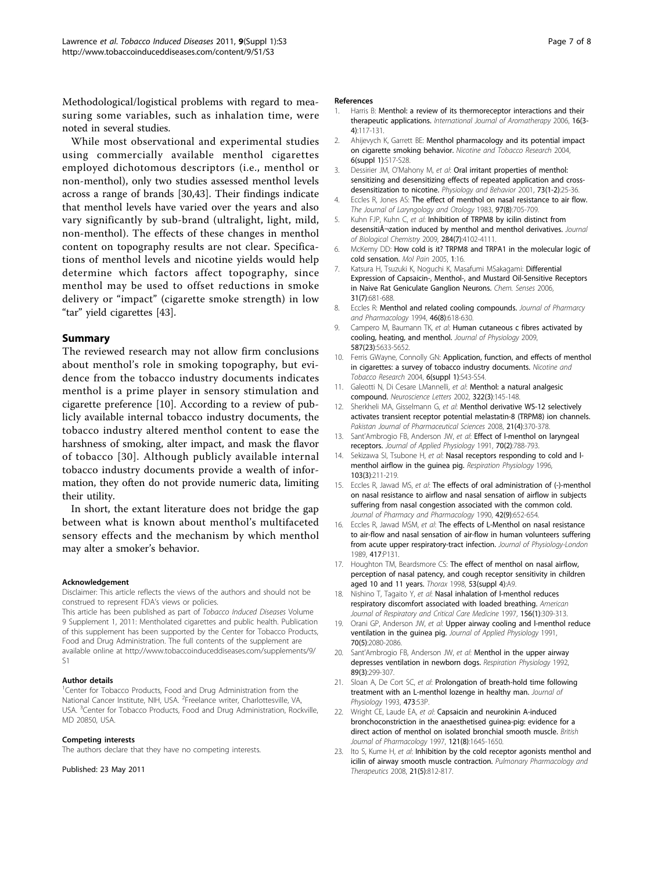<span id="page-6-0"></span>Methodological/logistical problems with regard to measuring some variables, such as inhalation time, were noted in several studies.

While most observational and experimental studies using commercially available menthol cigarettes employed dichotomous descriptors (i.e., menthol or non-menthol), only two studies assessed menthol levels across a range of brands [\[30,43](#page-7-0)]. Their findings indicate that menthol levels have varied over the years and also vary significantly by sub-brand (ultralight, light, mild, non-menthol). The effects of these changes in menthol content on topography results are not clear. Specifications of menthol levels and nicotine yields would help determine which factors affect topography, since menthol may be used to offset reductions in smoke delivery or "impact" (cigarette smoke strength) in low "tar" yield cigarettes [\[43](#page-7-0)].

## Summary

The reviewed research may not allow firm conclusions about menthol's role in smoking topography, but evidence from the tobacco industry documents indicates menthol is a prime player in sensory stimulation and cigarette preference [10]. According to a review of publicly available internal tobacco industry documents, the tobacco industry altered menthol content to ease the harshness of smoking, alter impact, and mask the flavor of tobacco [[30](#page-7-0)]. Although publicly available internal tobacco industry documents provide a wealth of information, they often do not provide numeric data, limiting their utility.

In short, the extant literature does not bridge the gap between what is known about menthol's multifaceted sensory effects and the mechanism by which menthol may alter a smoker's behavior.

#### Acknowledgement

Disclaimer: This article reflects the views of the authors and should not be construed to represent FDA's views or policies.

This article has been published as part of Tobacco Induced Diseases Volume 9 Supplement 1, 2011: Mentholated cigarettes and public health. Publication of this supplement has been supported by the Center for Tobacco Products, Food and Drug Administration. The full contents of the supplement are available online at [http://www.tobaccoinduceddiseases.com/supplements/9/](http://www.tobaccoinduceddiseases.com/supplements/9/S1)  $\subset$ 1

#### Author details

<sup>1</sup>Center for Tobacco Products, Food and Drug Administration from the National Cancer Institute, NIH, USA. <sup>2</sup>Freelance writer, Charlottesville, VA, USA. <sup>3</sup>Center for Tobacco Products, Food and Drug Administration, Rockville, MD 20850, USA.

#### Competing interests

The authors declare that they have no competing interests.

Published: 23 May 2011

#### References

- 1. Harris B: Menthol: a review of its thermoreceptor interactions and their therapeutic applications. International Journal of Aromatherapy 2006, 16(3-4):117-131.
- 2. Ahijevych K, Garrett BE: [Menthol pharmacology and its potential impact](http://www.ncbi.nlm.nih.gov/pubmed/14982706?dopt=Abstract) [on cigarette smoking behavior.](http://www.ncbi.nlm.nih.gov/pubmed/14982706?dopt=Abstract) Nicotine and Tobacco Research 2004, 6(suppl 1):S17-S28.
- 3. Dessirier JM, O'Mahony M, et al: [Oral irritant properties of menthol:](http://www.ncbi.nlm.nih.gov/pubmed/11399291?dopt=Abstract) [sensitizing and desensitizing effects of repeated application and cross](http://www.ncbi.nlm.nih.gov/pubmed/11399291?dopt=Abstract)[desensitization to nicotine.](http://www.ncbi.nlm.nih.gov/pubmed/11399291?dopt=Abstract) Physiology and Behavior 2001, 73(1-2):25-36.
- 4. Eccles R, Jones AS: [The effect of menthol on nasal resistance to air flow.](http://www.ncbi.nlm.nih.gov/pubmed/6886530?dopt=Abstract) The Journal of Laryngology and Otology 1983, 97(8):705-709.
- 5. Kuhn FJP, Kuhn C, et al: [Inhibition of TRPM8 by icilin distinct from](http://www.ncbi.nlm.nih.gov/pubmed/19095656?dopt=Abstract) [desensiti¬zation induced by menthol and menthol derivatives.](http://www.ncbi.nlm.nih.gov/pubmed/19095656?dopt=Abstract) Journal of Biological Chemistry 2009, 284(7):4102-4111.
- 6. McKemy DD: [How cold is it? TRPM8 and TRPA1 in the molecular logic of](http://www.ncbi.nlm.nih.gov/pubmed/15847696?dopt=Abstract) [cold sensation.](http://www.ncbi.nlm.nih.gov/pubmed/15847696?dopt=Abstract) Mol Pain 2005, 1:16.
- 7. Katsura H, Tsuzuki K, Noguchi K, Masafumi MSakagami: [Differential](http://www.ncbi.nlm.nih.gov/pubmed/16831854?dopt=Abstract) [Expression of Capsaicin-, Menthol-, and Mustard Oil-Sensitive Receptors](http://www.ncbi.nlm.nih.gov/pubmed/16831854?dopt=Abstract) [in Naive Rat Geniculate Ganglion Neurons.](http://www.ncbi.nlm.nih.gov/pubmed/16831854?dopt=Abstract) Chem. Senses 2006, 31(7):681-688.
- 8. Eccles R: Menthol and related cooling compounds. Journal of Pharmarcy and Pharmacology 1994, 46(8):618-630.
- 9. Campero M, Baumann TK, et al: [Human cutaneous c fibres activated by](http://www.ncbi.nlm.nih.gov/pubmed/19822550?dopt=Abstract) [cooling, heating, and menthol.](http://www.ncbi.nlm.nih.gov/pubmed/19822550?dopt=Abstract) Journal of Physiology 2009, 587(23):5633-5652.
- 10. Ferris GWayne, Connolly GN: [Application, function, and effects of menthol](http://www.ncbi.nlm.nih.gov/pubmed/14982708?dopt=Abstract) [in cigarettes: a survey of tobacco industry documents.](http://www.ncbi.nlm.nih.gov/pubmed/14982708?dopt=Abstract) Nicotine and Tobacco Research 2004, 6(suppl 1):S43-S54.
- 11. Galeotti N, Di Cesare LMannelli, et al: [Menthol: a natural analgesic](http://www.ncbi.nlm.nih.gov/pubmed/11897159?dopt=Abstract) [compound.](http://www.ncbi.nlm.nih.gov/pubmed/11897159?dopt=Abstract) Neuroscience Letters 2002, 322(3):145-148.
- 12. Sherkheli MA, Gisselmann G, et al: [Menthol derivative WS-12 selectively](http://www.ncbi.nlm.nih.gov/pubmed/18930858?dopt=Abstract) [activates transient receptor potential melastatin-8 \(TRPM8\) ion channels.](http://www.ncbi.nlm.nih.gov/pubmed/18930858?dopt=Abstract) Pakistan Journal of Pharmaceutical Sciences 2008, 21(4):370-378.
- 13. Sant'Ambrogio FB, Anderson JW, et al: Effect of I-menthol on laryngeal [receptors.](http://www.ncbi.nlm.nih.gov/pubmed/2022571?dopt=Abstract) Journal of Applied Physiology 1991, 70(2):788-793.
- 14. Sekizawa SI, Tsubone H, et al: Nasal receptors responding to cold and I[menthol airflow in the guinea pig.](http://www.ncbi.nlm.nih.gov/pubmed/8738897?dopt=Abstract) Respiration Physiology 1996, 103(3):211-219.
- 15. Eccles R, Jawad MS, et al: [The effects of oral administration of \(-\)-menthol](http://www.ncbi.nlm.nih.gov/pubmed/1981905?dopt=Abstract) [on nasal resistance to airflow and nasal sensation of airflow in subjects](http://www.ncbi.nlm.nih.gov/pubmed/1981905?dopt=Abstract) [suffering from nasal congestion associated with the common cold.](http://www.ncbi.nlm.nih.gov/pubmed/1981905?dopt=Abstract) Journal of Pharmacy and Pharmacology 1990, 42(9):652-654.
- 16. Eccles R, Jawad MSM, et al: The effects of L-Menthol on nasal resistance to air-flow and nasal sensation of air-flow in human volunteers suffering from acute upper respiratory-tract infection. Journal of Physiology-London 1989, 417:P131.
- 17. Houghton TM, Beardsmore CS: The effect of menthol on nasal airflow, perception of nasal patency, and cough receptor sensitivity in children aged 10 and 11 years. Thorax 1998, 53(suppl 4):A9.
- 18. Nishino T, Tagaito Y, et al: Nasal inhalation of I-menthol reduces [respiratory discomfort associated with loaded breathing.](http://www.ncbi.nlm.nih.gov/pubmed/9230767?dopt=Abstract) American Journal of Respiratory and Critical Care Medicine 1997, 156(1):309-313.
- 19. Orani GP, Anderson JW, et al: Upper airway cooling and I-menthol reduce [ventilation in the guinea pig.](http://www.ncbi.nlm.nih.gov/pubmed/1864790?dopt=Abstract) Journal of Applied Physiology 1991, 70(5):2080-2086.
- 20. Sant'Ambrogio FB, Anderson JW, et al: [Menthol in the upper airway](http://www.ncbi.nlm.nih.gov/pubmed/1410843?dopt=Abstract) [depresses ventilation in newborn dogs.](http://www.ncbi.nlm.nih.gov/pubmed/1410843?dopt=Abstract) Respiration Physiology 1992, 89(3):299-307.
- 21. Sloan A, De Cort SC, et al: Prolongation of breath-hold time following treatment with an L-menthol lozenge in healthy man. Journal of Physiology 1993, 473:53P.
- 22. Wright CE, Laude EA, et al: [Capsaicin and neurokinin A-induced](http://www.ncbi.nlm.nih.gov/pubmed/9283698?dopt=Abstract) [bronchoconstriction in the anaesthetised guinea-pig: evidence for a](http://www.ncbi.nlm.nih.gov/pubmed/9283698?dopt=Abstract) [direct action of menthol on isolated bronchial smooth muscle.](http://www.ncbi.nlm.nih.gov/pubmed/9283698?dopt=Abstract) British Journal of Pharmacology 1997, 121(8):1645-1650.
- 23. Ito S, Kume H, et al: [Inhibition by the cold receptor agonists menthol and](http://www.ncbi.nlm.nih.gov/pubmed/18647657?dopt=Abstract) [icilin of airway smooth muscle contraction.](http://www.ncbi.nlm.nih.gov/pubmed/18647657?dopt=Abstract) Pulmonary Pharmacology and Therapeutics 2008, 21(5):812-817.